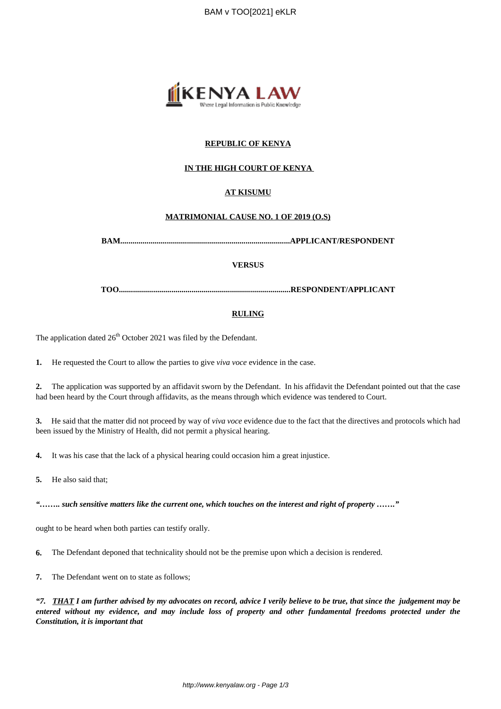

## **REPUBLIC OF KENYA**

### **IN THE HIGH COURT OF KENYA**

### **AT KISUMU**

#### **MATRIMONIAL CAUSE NO. 1 OF 2019 (O.S)**

**BAM....................................................................................APPLICANT/RESPONDENT**

#### **VERSUS**

**TOO.....................................................................................RESPONDENT/APPLICANT**

#### **RULING**

The application dated  $26<sup>th</sup>$  October 2021 was filed by the Defendant.

**1.** He requested the Court to allow the parties to give *viva voce* evidence in the case.

**2.** The application was supported by an affidavit sworn by the Defendant. In his affidavit the Defendant pointed out that the case had been heard by the Court through affidavits, as the means through which evidence was tendered to Court.

**3.** He said that the matter did not proceed by way of *viva voce* evidence due to the fact that the directives and protocols which had been issued by the Ministry of Health, did not permit a physical hearing.

**4.** It was his case that the lack of a physical hearing could occasion him a great injustice.

**5.** He also said that;

*"…….. such sensitive matters like the current one, which touches on the interest and right of property ……."*

ought to be heard when both parties can testify orally.

**6.** The Defendant deponed that technicality should not be the premise upon which a decision is rendered.

**7.** The Defendant went on to state as follows;

*"7. THAT I am further advised by my advocates on record, advice I verily believe to be true, that since the judgement may be entered without my evidence, and may include loss of property and other fundamental freedoms protected under the Constitution, it is important that*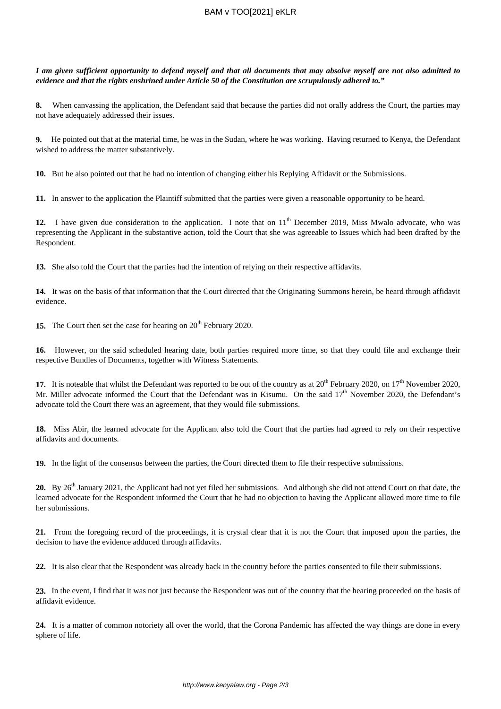### BAM v TOO[2021] eKLR

*I am given sufficient opportunity to defend myself and that all documents that may absolve myself are not also admitted to evidence and that the rights enshrined under Article 50 of the Constitution are scrupulously adhered to."*

**8.** When canvassing the application, the Defendant said that because the parties did not orally address the Court, the parties may not have adequately addressed their issues.

**9.** He pointed out that at the material time, he was in the Sudan, where he was working. Having returned to Kenya, the Defendant wished to address the matter substantively.

**10.** But he also pointed out that he had no intention of changing either his Replying Affidavit or the Submissions.

**11.** In answer to the application the Plaintiff submitted that the parties were given a reasonable opportunity to be heard.

12. I have given due consideration to the application. I note that on 11<sup>th</sup> December 2019, Miss Mwalo advocate, who was representing the Applicant in the substantive action, told the Court that she was agreeable to Issues which had been drafted by the Respondent.

**13.** She also told the Court that the parties had the intention of relying on their respective affidavits.

**14.** It was on the basis of that information that the Court directed that the Originating Summons herein, be heard through affidavit evidence.

**15.** The Court then set the case for hearing on 20<sup>th</sup> February 2020.

**16.** However, on the said scheduled hearing date, both parties required more time, so that they could file and exchange their respective Bundles of Documents, together with Witness Statements.

17. It is noteable that whilst the Defendant was reported to be out of the country as at 20<sup>th</sup> February 2020, on 17<sup>th</sup> November 2020, Mr. Miller advocate informed the Court that the Defendant was in Kisumu. On the said  $17<sup>th</sup>$  November 2020, the Defendant's advocate told the Court there was an agreement, that they would file submissions.

**18.** Miss Abir, the learned advocate for the Applicant also told the Court that the parties had agreed to rely on their respective affidavits and documents.

**19.** In the light of the consensus between the parties, the Court directed them to file their respective submissions.

20. By 26<sup>th</sup> January 2021, the Applicant had not yet filed her submissions. And although she did not attend Court on that date, the learned advocate for the Respondent informed the Court that he had no objection to having the Applicant allowed more time to file her submissions.

**21.** From the foregoing record of the proceedings, it is crystal clear that it is not the Court that imposed upon the parties, the decision to have the evidence adduced through affidavits.

**22.** It is also clear that the Respondent was already back in the country before the parties consented to file their submissions.

**23.** In the event, I find that it was not just because the Respondent was out of the country that the hearing proceeded on the basis of affidavit evidence.

**24.** It is a matter of common notoriety all over the world, that the Corona Pandemic has affected the way things are done in every sphere of life.